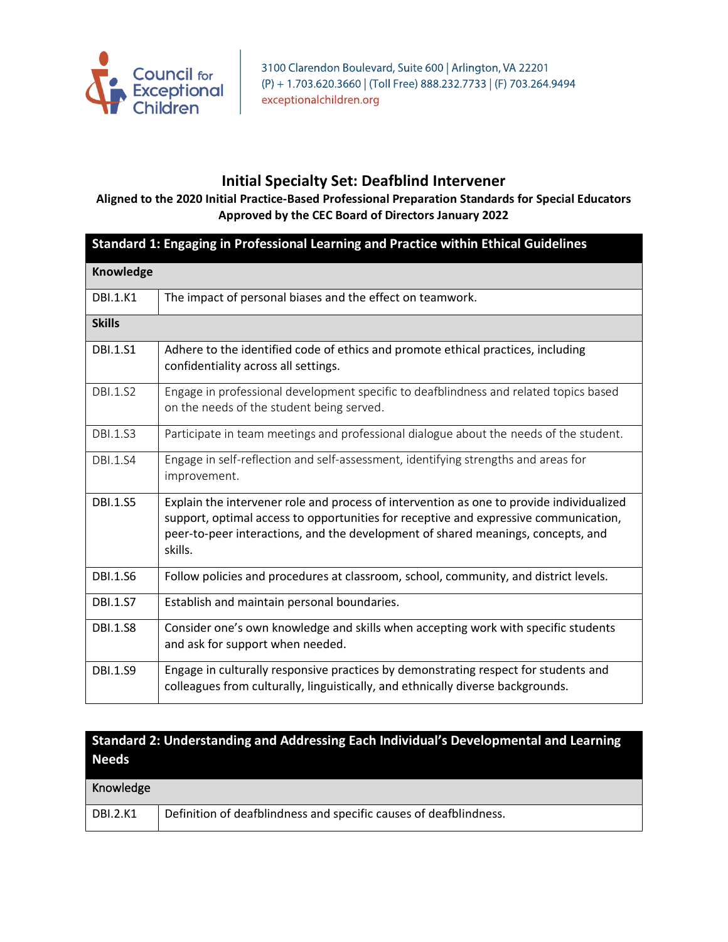

### **Initial Specialty Set: Deafblind Intervener**

#### **Aligned to the 2020 Initial Practice-Based Professional Preparation Standards for Special Educators Approved by the CEC Board of Directors January 2022**

| Standard 1: Engaging in Professional Learning and Practice within Ethical Guidelines |                                                                                                                                                                                                                                                                                 |
|--------------------------------------------------------------------------------------|---------------------------------------------------------------------------------------------------------------------------------------------------------------------------------------------------------------------------------------------------------------------------------|
| Knowledge                                                                            |                                                                                                                                                                                                                                                                                 |
| <b>DBI.1.K1</b>                                                                      | The impact of personal biases and the effect on teamwork.                                                                                                                                                                                                                       |
| <b>Skills</b>                                                                        |                                                                                                                                                                                                                                                                                 |
| <b>DBI.1.S1</b>                                                                      | Adhere to the identified code of ethics and promote ethical practices, including<br>confidentiality across all settings.                                                                                                                                                        |
| <b>DBI.1.S2</b>                                                                      | Engage in professional development specific to deafblindness and related topics based<br>on the needs of the student being served.                                                                                                                                              |
| <b>DBI.1.S3</b>                                                                      | Participate in team meetings and professional dialogue about the needs of the student.                                                                                                                                                                                          |
| <b>DBI.1.S4</b>                                                                      | Engage in self-reflection and self-assessment, identifying strengths and areas for<br>improvement.                                                                                                                                                                              |
| <b>DBI.1.S5</b>                                                                      | Explain the intervener role and process of intervention as one to provide individualized<br>support, optimal access to opportunities for receptive and expressive communication,<br>peer-to-peer interactions, and the development of shared meanings, concepts, and<br>skills. |
| <b>DBI.1.S6</b>                                                                      | Follow policies and procedures at classroom, school, community, and district levels.                                                                                                                                                                                            |
| <b>DBI.1.S7</b>                                                                      | Establish and maintain personal boundaries.                                                                                                                                                                                                                                     |
| <b>DBI.1.S8</b>                                                                      | Consider one's own knowledge and skills when accepting work with specific students<br>and ask for support when needed.                                                                                                                                                          |
| <b>DBI.1.S9</b>                                                                      | Engage in culturally responsive practices by demonstrating respect for students and<br>colleagues from culturally, linguistically, and ethnically diverse backgrounds.                                                                                                          |

### **Standard 2: Understanding and Addressing Each Individual's Developmental and Learning Needs**

| Knowledge       |                                                                   |
|-----------------|-------------------------------------------------------------------|
| <b>DBI.2.K1</b> | Definition of deafblindness and specific causes of deafblindness. |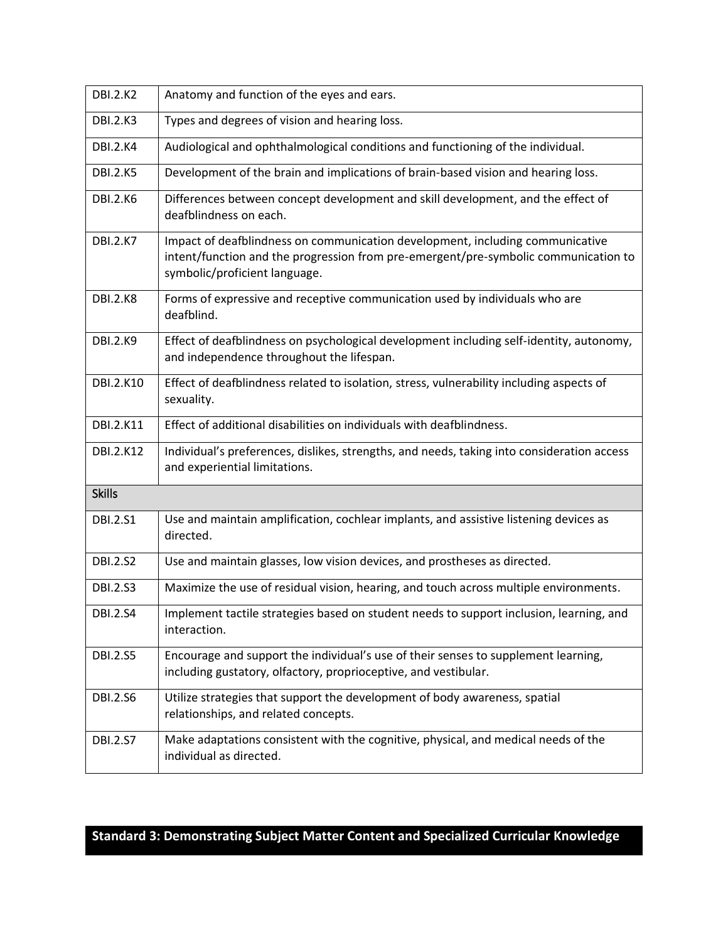| <b>DBI.2.K2</b>  | Anatomy and function of the eyes and ears.                                                                                                                                                            |
|------------------|-------------------------------------------------------------------------------------------------------------------------------------------------------------------------------------------------------|
| <b>DBI.2.K3</b>  | Types and degrees of vision and hearing loss.                                                                                                                                                         |
| <b>DBI.2.K4</b>  | Audiological and ophthalmological conditions and functioning of the individual.                                                                                                                       |
| <b>DBI.2.K5</b>  | Development of the brain and implications of brain-based vision and hearing loss.                                                                                                                     |
| <b>DBI.2.K6</b>  | Differences between concept development and skill development, and the effect of<br>deafblindness on each.                                                                                            |
| <b>DBI.2.K7</b>  | Impact of deafblindness on communication development, including communicative<br>intent/function and the progression from pre-emergent/pre-symbolic communication to<br>symbolic/proficient language. |
| <b>DBI.2.K8</b>  | Forms of expressive and receptive communication used by individuals who are<br>deafblind.                                                                                                             |
| <b>DBI.2.K9</b>  | Effect of deafblindness on psychological development including self-identity, autonomy,<br>and independence throughout the lifespan.                                                                  |
| <b>DBI.2.K10</b> | Effect of deafblindness related to isolation, stress, vulnerability including aspects of<br>sexuality.                                                                                                |
| <b>DBI.2.K11</b> | Effect of additional disabilities on individuals with deafblindness.                                                                                                                                  |
| <b>DBI.2.K12</b> | Individual's preferences, dislikes, strengths, and needs, taking into consideration access<br>and experiential limitations.                                                                           |
| <b>Skills</b>    |                                                                                                                                                                                                       |
| <b>DBI.2.S1</b>  | Use and maintain amplification, cochlear implants, and assistive listening devices as<br>directed.                                                                                                    |
| <b>DBI.2.S2</b>  | Use and maintain glasses, low vision devices, and prostheses as directed.                                                                                                                             |
| <b>DBI.2.S3</b>  | Maximize the use of residual vision, hearing, and touch across multiple environments.                                                                                                                 |
| <b>DBI.2.S4</b>  | Implement tactile strategies based on student needs to support inclusion, learning, and<br>interaction.                                                                                               |
| <b>DBI.2.S5</b>  | Encourage and support the individual's use of their senses to supplement learning,<br>including gustatory, olfactory, proprioceptive, and vestibular.                                                 |
| <b>DBI.2.S6</b>  | Utilize strategies that support the development of body awareness, spatial<br>relationships, and related concepts.                                                                                    |
| <b>DBI.2.S7</b>  | Make adaptations consistent with the cognitive, physical, and medical needs of the<br>individual as directed.                                                                                         |

## **Standard 3: Demonstrating Subject Matter Content and Specialized Curricular Knowledge**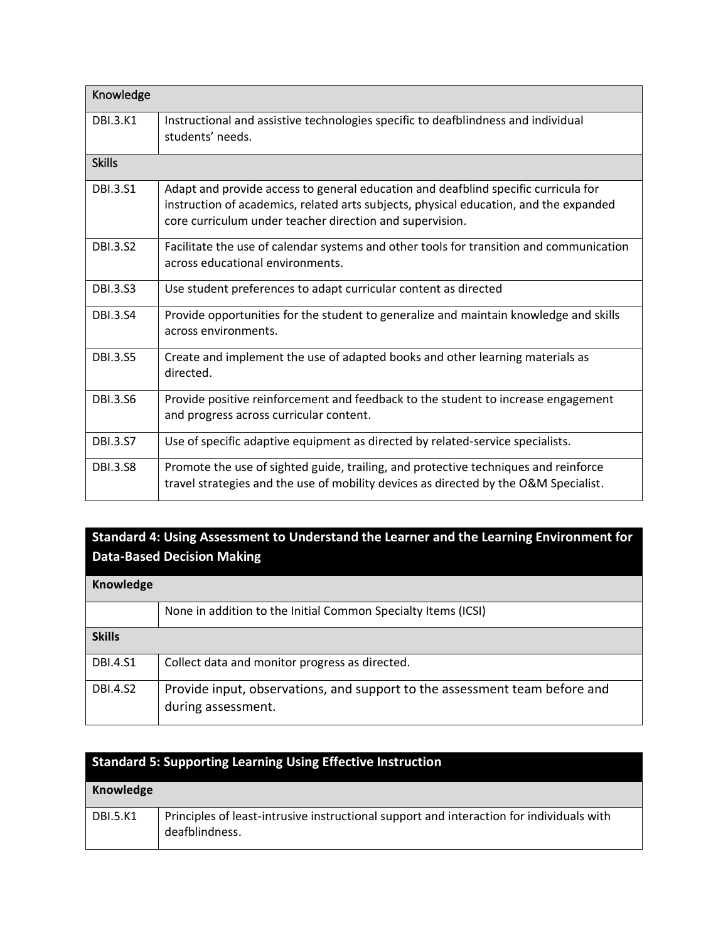| Knowledge       |                                                                                                                                                                                                                                         |
|-----------------|-----------------------------------------------------------------------------------------------------------------------------------------------------------------------------------------------------------------------------------------|
| <b>DBI.3.K1</b> | Instructional and assistive technologies specific to deafblindness and individual<br>students' needs.                                                                                                                                   |
| <b>Skills</b>   |                                                                                                                                                                                                                                         |
| <b>DBI.3.S1</b> | Adapt and provide access to general education and deafblind specific curricula for<br>instruction of academics, related arts subjects, physical education, and the expanded<br>core curriculum under teacher direction and supervision. |
| <b>DBI.3.S2</b> | Facilitate the use of calendar systems and other tools for transition and communication<br>across educational environments.                                                                                                             |
| <b>DBI.3.S3</b> | Use student preferences to adapt curricular content as directed                                                                                                                                                                         |
| <b>DBI.3.S4</b> | Provide opportunities for the student to generalize and maintain knowledge and skills<br>across environments.                                                                                                                           |
| <b>DBI.3.S5</b> | Create and implement the use of adapted books and other learning materials as<br>directed.                                                                                                                                              |
| <b>DBI.3.S6</b> | Provide positive reinforcement and feedback to the student to increase engagement<br>and progress across curricular content.                                                                                                            |
| <b>DBI.3.S7</b> | Use of specific adaptive equipment as directed by related-service specialists.                                                                                                                                                          |
| <b>DBI.3.58</b> | Promote the use of sighted guide, trailing, and protective techniques and reinforce<br>travel strategies and the use of mobility devices as directed by the O&M Specialist.                                                             |

### **Standard 4: Using Assessment to Understand the Learner and the Learning Environment for Data-Based Decision Making**

| Knowledge       |                                                                                                  |
|-----------------|--------------------------------------------------------------------------------------------------|
|                 | None in addition to the Initial Common Specialty Items (ICSI)                                    |
| <b>Skills</b>   |                                                                                                  |
| <b>DBI.4.S1</b> | Collect data and monitor progress as directed.                                                   |
| <b>DBI.4.S2</b> | Provide input, observations, and support to the assessment team before and<br>during assessment. |

| <b>Standard 5: Supporting Learning Using Effective Instruction</b> |                                                                                                            |
|--------------------------------------------------------------------|------------------------------------------------------------------------------------------------------------|
| Knowledge                                                          |                                                                                                            |
| <b>DBI.5.K1</b>                                                    | Principles of least-intrusive instructional support and interaction for individuals with<br>deafblindness. |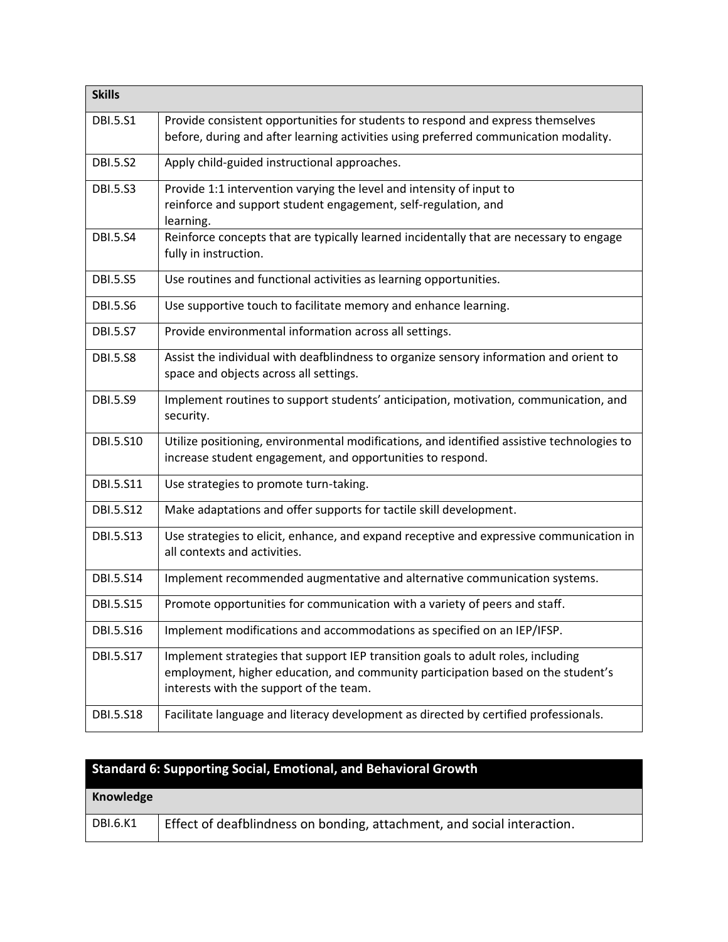| <b>Skills</b>    |                                                                                                                                                                                                                 |
|------------------|-----------------------------------------------------------------------------------------------------------------------------------------------------------------------------------------------------------------|
| <b>DBI.5.S1</b>  | Provide consistent opportunities for students to respond and express themselves<br>before, during and after learning activities using preferred communication modality.                                         |
| <b>DBI.5.S2</b>  | Apply child-guided instructional approaches.                                                                                                                                                                    |
| <b>DBI.5.S3</b>  | Provide 1:1 intervention varying the level and intensity of input to<br>reinforce and support student engagement, self-regulation, and<br>learning.                                                             |
| <b>DBI.5.S4</b>  | Reinforce concepts that are typically learned incidentally that are necessary to engage<br>fully in instruction.                                                                                                |
| <b>DBI.5.S5</b>  | Use routines and functional activities as learning opportunities.                                                                                                                                               |
| <b>DBI.5.S6</b>  | Use supportive touch to facilitate memory and enhance learning.                                                                                                                                                 |
| <b>DBI.5.S7</b>  | Provide environmental information across all settings.                                                                                                                                                          |
| <b>DBI.5.S8</b>  | Assist the individual with deafblindness to organize sensory information and orient to<br>space and objects across all settings.                                                                                |
| <b>DBI.5.S9</b>  | Implement routines to support students' anticipation, motivation, communication, and<br>security.                                                                                                               |
| DBI.5.S10        | Utilize positioning, environmental modifications, and identified assistive technologies to<br>increase student engagement, and opportunities to respond.                                                        |
| DBI.5.S11        | Use strategies to promote turn-taking.                                                                                                                                                                          |
| DBI.5.S12        | Make adaptations and offer supports for tactile skill development.                                                                                                                                              |
| DBI.5.S13        | Use strategies to elicit, enhance, and expand receptive and expressive communication in<br>all contexts and activities.                                                                                         |
| DBI.5.S14        | Implement recommended augmentative and alternative communication systems.                                                                                                                                       |
| <b>DBI.5.S15</b> | Promote opportunities for communication with a variety of peers and staff.                                                                                                                                      |
| DBI.5.S16        | Implement modifications and accommodations as specified on an IEP/IFSP.                                                                                                                                         |
| DBI.5.S17        | Implement strategies that support IEP transition goals to adult roles, including<br>employment, higher education, and community participation based on the student's<br>interests with the support of the team. |
| DBI.5.S18        | Facilitate language and literacy development as directed by certified professionals.                                                                                                                            |

|  |  |  | <b>Standard 6: Supporting Social, Emotional, and Behavioral Growth</b> |  |
|--|--|--|------------------------------------------------------------------------|--|
|--|--|--|------------------------------------------------------------------------|--|

| Knowledge |                                                                         |
|-----------|-------------------------------------------------------------------------|
| DBI.6.K1  | Effect of deafblindness on bonding, attachment, and social interaction. |